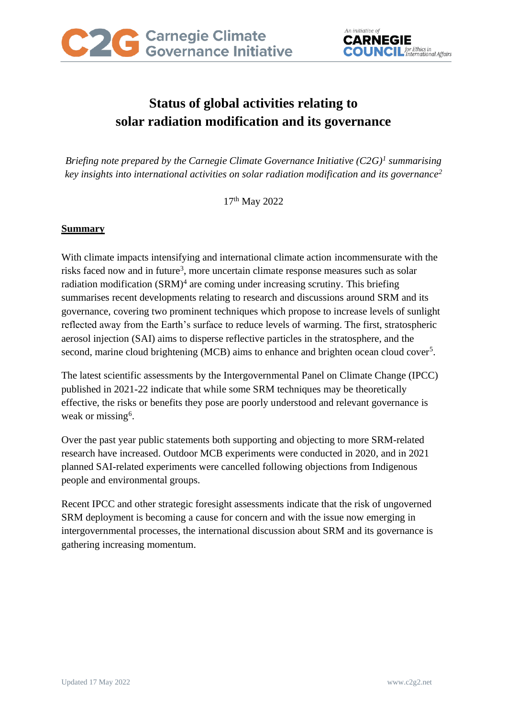

# **Status of global activities relating to solar radiation modification and its governance**

*Briefing note prepared by the Carnegie Climate Governance Initiative (C2G) 1 summarising key insights into international activities on solar radiation modification and its governance<sup>2</sup>*

17th May 2022

# **Summary**

With climate impacts intensifying and international climate action incommensurate with the risks faced now and in future<sup>3</sup>, more uncertain climate response measures such as solar radiation modification (SRM)<sup>4</sup> are coming under increasing scrutiny. This briefing summarises recent developments relating to research and discussions around SRM and its governance, covering two prominent techniques which propose to increase levels of sunlight reflected away from the Earth's surface to reduce levels of warming. The first, stratospheric aerosol injection (SAI) aims to disperse reflective particles in the stratosphere, and the second, marine cloud brightening (MCB) aims to enhance and brighten ocean cloud cover<sup>5</sup>.

The latest scientific assessments by the Intergovernmental Panel on Climate Change (IPCC) published in 2021-22 indicate that while some SRM techniques may be theoretically effective, the risks or benefits they pose are poorly understood and relevant governance is weak or missing<sup>6</sup>.

Over the past year public statements both supporting and objecting to more SRM-related research have increased. Outdoor MCB experiments were conducted in 2020, and in 2021 planned SAI-related experiments were cancelled following objections from Indigenous people and environmental groups.

Recent IPCC and other strategic foresight assessments indicate that the risk of ungoverned SRM deployment is becoming a cause for concern and with the issue now emerging in intergovernmental processes, the international discussion about SRM and its governance is gathering increasing momentum.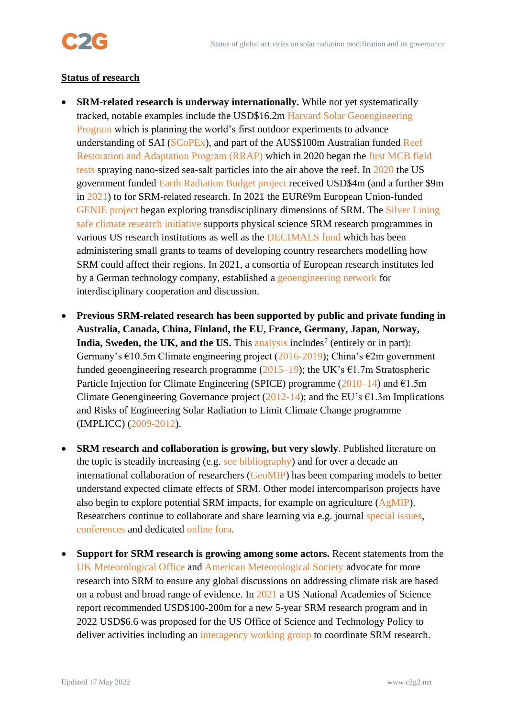

#### **Status of research**

- **SRM-related research is underway internationally.** While not yet systematically tracked, notable examples include the USD\$16.2m [Harvard Solar Geoengineering](https://geoengineering.environment.harvard.edu/home)  [Program](https://geoengineering.environment.harvard.edu/home) which is planning the world's first outdoor experiments to advance understanding of SAI [\(SCoPEx\)](https://projects.iq.harvard.edu/keutschgroup/scopex), and part of the AUS\$100m Australian funded [Reef](https://gbrrestoration.org/)  [Restoration and Adaptation Program \(RRAP\)](https://gbrrestoration.org/) which in 2020 began the [first MCB field](https://www.nature.com/articles/d41586-021-02290-3)  [tests](https://www.nature.com/articles/d41586-021-02290-3) spraying nano-sized sea-salt particles into the air above the reef. In [2020](https://csl.noaa.gov/research/erb/projects/FY2020.html) the US government funded [Earth Radiation Budget project](https://csl.noaa.gov/research/erb/projects/) received USD\$4m (and a further \$9m in [2021\)](https://csl.noaa.gov/research/erb/projects/FY2021.html) to for SRM-related research. In 2021 the EUR€9m European Union-funded [GENIE project](https://genie-erc.github.io/) began exploring transdisciplinary dimensions of SRM. The [Silver Lining](https://www.silverlining.ngo/safe-climate-research-initiative)  [safe climate research initiative](https://www.silverlining.ngo/safe-climate-research-initiative) supports physical science SRM research programmes in various US research institutions as well as the [DECIMALS fund](https://www.degrees.ngo/decimals-fund/) which has been administering small grants to teams of developing country researchers modelling how SRM could affect their regions. In 2021, a consortia of European research institutes led by a German technology company, established a [geoengineering network](https://www.ohb.de/en/news/2021/ohb-establishes-geoengineering-network) for interdisciplinary cooperation and discussion.
- **Previous SRM-related research has been supported by public and private funding in Australia, Canada, China, Finland, the EU, France, Germany, Japan, Norway,**  India, Sweden, the UK, and the US. This [analysis](https://geoengineering.environment.harvard.edu/blog/funding-solar-geoengineering) includes<sup>7</sup> (entirely or in part): Germany's  $\epsilon$ 10.5m Climate engineering project [\(2016-2019\)](https://www.spp-climate-engineering.de/aktuelles.html); China's  $\epsilon$ 2m government funded geoengineering research programme ( $2015-19$ ); the UK's  $\epsilon$ 1.7m Stratospheric Particle Injection for Climate Engineering (SPICE) programme  $(2010-14)$  and  $\epsilon$ 1.5m Climate Geoengineering Governance project  $(2012-14)$ ; and the EU's  $\epsilon$ 1.3m Implications and Risks of Engineering Solar Radiation to Limit Climate Change programme (IMPLICC) [\(2009-2012\)](https://implicc.mpimet.mpg.de/home).
- **SRM research and collaboration is growing, but very slowly**. Published literature on the topic is steadily increasing (e.g. [see bibliography\)](https://www.zotero.org/groups/2190632/solar_geoengineering) and for over a decade an international collaboration of researchers [\(GeoMIP\)](http://climate.envsci.rutgers.edu/GeoMIP/index.html) has been comparing models to better understand expected climate effects of SRM. Other model intercomparison projects have also begin to explore potential SRM impacts, for example on agriculture [\(AgMIP\)](https://agmip.org/). Researchers continue to collaborate and share learning via e.g. journal [special issues,](https://www.globalpolicyjournal.com/journal-issue/special-issue-governing-climate-altering-approaches) [conferences](https://www.ce-conference.org/) and dedicated [online fora.](https://groups.google.com/g/geoengineering)
- **Support for SRM research is growing among some actors.** Recent statements from the [UK Meteorological Office](https://www.metoffice.gov.uk/research/climate/earth-system-science/met-office-position-on-geoengineering-research) and [American Meteorological Society](https://www.ametsoc.org/ams/assets/File/aboutams/statements_pdf/AMS_Statement_Climate_Intervention_Final.pdf) advocate for more research into SRM to ensure any global discussions on addressing climate risk are based on a robust and broad range of evidence. In [2021](https://www.nap.edu/catalog/25762/reflecting-sunlight-recommendations-for-solar-geoengineering-research-and-research-governance) a US National Academies of Science report recommended USD\$100-200m for a new 5-year SRM research program and in 2022 USD\$6.6 was proposed for the US Office of Science and Technology Policy to deliver activities including an [interagency working group](https://www.congress.gov/congressional-record/2022/3/9/house-section/article/h1709-1?q=%7B%22search%22%3A%5B%22geoengineering%22%2C%22geoengineering%22%5D%7D&s=1&r=4) to coordinate SRM research.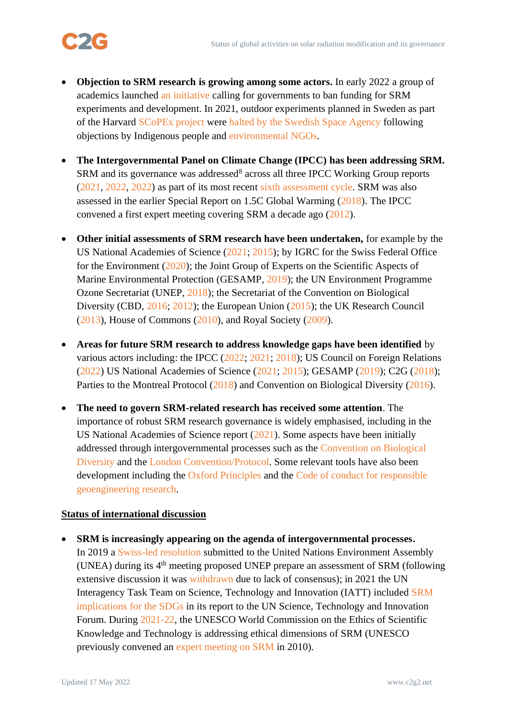

- **Objection to SRM research is growing among some actors.** In early 2022 a group of academics launched [an initiative](https://www.solargeoeng.org/) calling for governments to ban funding for SRM experiments and development. In 2021, outdoor experiments planned in Sweden as part of the Harvard [SCoPEx project](https://www.keutschgroup.com/scopex) were [halted by the Swedish Space Agency](https://sscspace.com/news-activities/no-technical-test-flight-for-scopex-from-esrange/) following objections by [Indigenous people](https://www.saamicouncil.net/news-archive/open-letter-requesting-cancellation-of-plans-for-geoengineering) and [environmental NGOs.](https://www.geoengineeringmonitor.org/2021/02/letter-to-the-swedish-space-corporation-on-planned-scopex-test-flight/)
- **The Intergovernmental Panel on Climate Change (IPCC) has been addressing SRM.**  SRM and its governance was addressed<sup>8</sup> across all three IPCC Working Group reports [\(2021,](https://www.ipcc.ch/report/ar6/wg1/) [2022,](https://www.ipcc.ch/report/ar6/wg2/) [2022\)](https://www.ipcc.ch/report/ar6/wg3/) as part of its most recent [sixth assessment cycle.](https://www.ipcc.ch/assessment-report/ar6/) SRM was also assessed in the earlier Special Report on 1.5C Global Warming [\(2018\)](https://www.ipcc.ch/sr15/). The IPCC convened a first expert meeting covering SRM a decade ago [\(2012\)](https://archive.ipcc.ch/pdf/supporting-material/EM_GeoE_Meeting_Report_final.pdf).
- **Other initial assessments of SRM research have been undertaken,** for example by the US National Academies of Science [\(2021;](https://www.nap.edu/catalog/25762/reflecting-sunlight-recommendations-for-solar-geoengineering-research-and-research-governance) [2015\)](https://www.nap.edu/catalog/18988/climate-intervention-reflecting-sunlight-to-cool-earth); by IGRC for the Swiss Federal Office for the Environment [\(2020\)](https://www.epfl.ch/research/domains/irgc/climate-engineering/); the Joint Group of Experts on the Scientific Aspects of Marine Environmental Protection (GESAMP, [2019\)](http://www.gesamp.org/publications/high-level-review-of-a-wide-range-of-proposed-marine-geoengineering-techniques); the UN Environment Programme Ozone Secretariat (UNEP, [2018\)](https://ozone.unep.org/sites/default/files/2019-04/EEAP_assessment-report-2018%20%282%29.pdf); the Secretariat of the Convention on Biological Diversity (CBD, [2016;](https://www.cbd.int/doc/publications/cbd-ts-84-en.pdf) [2012\)](https://www.cbd.int/doc/publications/cbd-ts-66-en.pdf); the European Union [\(2015\)](https://www.iass-potsdam.de/en/research/eutrace); the UK Research Council [\(2013\)](https://nerc.ukri.org/research/partnerships/ride/lwec/geoengineering/), House of Commons [\(2010\)](https://publications.parliament.uk/pa/cm200910/cmselect/cmsctech/221/221.pdf), and Royal Society [\(2009\)](https://royalsociety.org/~/media/Royal_Society_Content/policy/publications/2009/8693.pdf).
- **Areas for future SRM research to address knowledge gaps have been identified** by various actors including: the IPCC [\(2022;](https://www.ipcc.ch/assessment-report/ar6/) [2021;](https://www.ipcc.ch/report/ar6/wg1/) [2018\)](https://www.ipcc.ch/sr15/); US Council on Foreign Relations [\(2022\)](https://www.cfr.org/report/reflecting-sunlight-reduce-climate-risk) US National Academies of Science [\(2021;](https://www.nap.edu/catalog/25762/reflecting-sunlight-recommendations-for-solar-geoengineering-research-and-research-governance) [2015\)](https://www.nap.edu/catalog/18988/climate-intervention-reflecting-sunlight-to-cool-earth%20.); GESAMP [\(2019\)](http://www.gesamp.org/publications/high-level-review-of-a-wide-range-of-proposed-marine-geoengineering-techniques); C2G [\(2018\)](https://www.c2g2.net/wp-content/uploads/20180704-C2G2-CBD-ResGaps.pdf); Parties to the Montreal Protocol [\(2018\)](https://ozone.unep.org/system/files/documents/MOP30-CRP7.advance.docx) and Convention on Biological Diversity [\(2016\)](https://www.cbd.int/doc/decisions/cop-13/cop-13-dec-14-en.pdf).
- **The need to govern SRM-related research has received some attention**. The importance of robust SRM research governance is widely emphasised, including in the US National Academies of Science report [\(2021\)](https://www.nap.edu/catalog/25762/reflecting-sunlight-recommendations-for-solar-geoengineering-research-and-research-governance). Some aspects have been initially addressed through intergovernmental processes such as the [Convention on Biological](https://www.cbd.int/climate/geoengineering/)  [Diversity](https://www.cbd.int/climate/geoengineering/) and the [London Convention/Protocol.](https://www.imo.org/en/OurWork/Environment/Pages/geoengineering-Default.aspx) Some relevant tools have also been development including the [Oxford Principles](http://www.geoengineering.ox.ac.uk/www.geoengineering.ox.ac.uk/oxford-principles/principles/) and the [Code of conduct for responsible](https://onlinelibrary.wiley.com/doi/full/10.1111/1758-5899.12845)  [geoengineering research.](https://onlinelibrary.wiley.com/doi/full/10.1111/1758-5899.12845)

## **Status of international discussion**

• **SRM is increasingly appearing on the agenda of intergovernmental processes.**  In 2019 a [Swiss-led resolution](https://www.climatechangenews.com/2019/02/26/swiss-push-talk-geoengineering-goes-sci-fi-reality/) submitted to the United Nations Environment Assembly (UNEA) during its  $4<sup>th</sup>$  meeting proposed UNEP prepare an assessment of SRM (following extensive discussion it was [withdrawn](https://www.scientificamerican.com/article/u-s-blocks-u-n-resolution-on-geoengineering/) due to lack of consensus); in 2021 the UN Interagency Task Team on Science, Technology and Innovation (IATT) included [SRM](https://sdgs.un.org/sites/default/files/2021-05/IATT%20report%20on%20emerging%20techs%202021.pdf)  [implications for the SDGs](https://sdgs.un.org/sites/default/files/2021-05/IATT%20report%20on%20emerging%20techs%202021.pdf) in its report to the UN Science, Technology and Innovation Forum. During [2021-22,](https://unesdoc.unesco.org/ark:/48223/pf0000379991) the UNESCO World Commission on the Ethics of Scientific Knowledge and Technology is addressing ethical dimensions of SRM (UNESCO previously convened an [expert meeting on SRM](http://www.unesco.org/new/en/natural-sciences/about-us/single-view/news/geoengineering_the_way_forward/) in 2010).